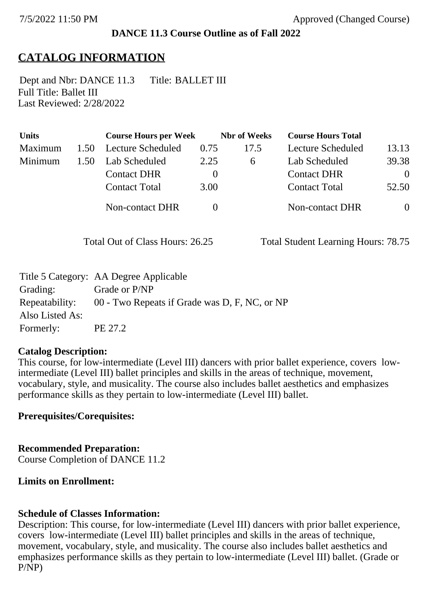### **DANCE 11.3 Course Outline as of Fall 2022**

# **CATALOG INFORMATION**

Full Title: Ballet III Last Reviewed: 2/28/2022 Dept and Nbr: DANCE 11.3 Title: BALLET III

| <b>Units</b> |      | <b>Course Hours per Week</b> |          | <b>Nbr</b> of Weeks | <b>Course Hours Total</b> |                |
|--------------|------|------------------------------|----------|---------------------|---------------------------|----------------|
| Maximum      | 1.50 | Lecture Scheduled            | 0.75     | 17.5                | Lecture Scheduled         | 13.13          |
| Minimum      | 1.50 | Lab Scheduled                | 2.25     | 6                   | Lab Scheduled             | 39.38          |
|              |      | <b>Contact DHR</b>           | $\theta$ |                     | <b>Contact DHR</b>        | $\theta$       |
|              |      | <b>Contact Total</b>         | 3.00     |                     | <b>Contact Total</b>      | 52.50          |
|              |      | Non-contact DHR              |          |                     | <b>Non-contact DHR</b>    | $\overline{0}$ |

Total Out of Class Hours: 26.25 Total Student Learning Hours: 78.75

|                 | Title 5 Category: AA Degree Applicable        |
|-----------------|-----------------------------------------------|
| Grading:        | Grade or P/NP                                 |
| Repeatability:  | 00 - Two Repeats if Grade was D, F, NC, or NP |
| Also Listed As: |                                               |
| Formerly:       | PE 27.2                                       |

#### **Catalog Description:**

This course, for low-intermediate (Level III) dancers with prior ballet experience, covers lowintermediate (Level III) ballet principles and skills in the areas of technique, movement, vocabulary, style, and musicality. The course also includes ballet aesthetics and emphasizes performance skills as they pertain to low-intermediate (Level III) ballet.

### **Prerequisites/Corequisites:**

**Recommended Preparation:** Course Completion of DANCE 11.2

### **Limits on Enrollment:**

### **Schedule of Classes Information:**

Description: This course, for low-intermediate (Level III) dancers with prior ballet experience, covers low-intermediate (Level III) ballet principles and skills in the areas of technique, movement, vocabulary, style, and musicality. The course also includes ballet aesthetics and emphasizes performance skills as they pertain to low-intermediate (Level III) ballet. (Grade or P/NP)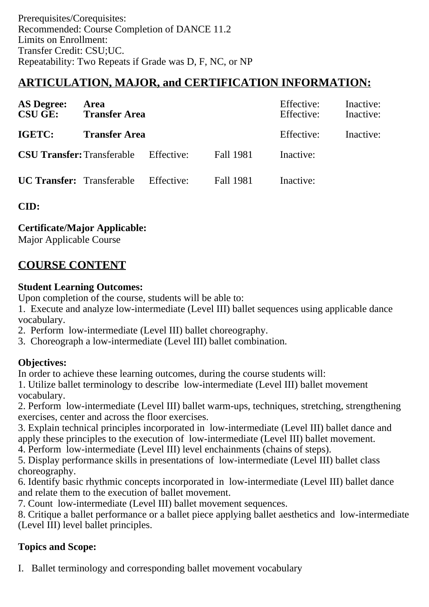# **ARTICULATION, MAJOR, and CERTIFICATION INFORMATION:**

| <b>AS Degree:</b><br><b>CSU GE:</b> | Area<br><b>Transfer Area</b>                 |            |                  | Effective:<br>Effective: | Inactive:<br>Inactive: |
|-------------------------------------|----------------------------------------------|------------|------------------|--------------------------|------------------------|
| IGETC:                              | <b>Transfer Area</b>                         |            |                  | Effective:               | Inactive:              |
|                                     | <b>CSU Transfer:</b> Transferable Effective: |            | Fall 1981        | Inactive:                |                        |
| <b>UC Transfer:</b> Transferable    |                                              | Effective: | <b>Fall 1981</b> | Inactive:                |                        |

**CID:**

**Certificate/Major Applicable:** 

[Major Applicable Course](SR_ClassCheck.aspx?CourseKey=DANCE11.3)

# **COURSE CONTENT**

### **Student Learning Outcomes:**

Upon completion of the course, students will be able to:

1. Execute and analyze low-intermediate (Level III) ballet sequences using applicable dance vocabulary.

- 2. Perform low-intermediate (Level III) ballet choreography.
- 3. Choreograph a low-intermediate (Level III) ballet combination.

## **Objectives:**

In order to achieve these learning outcomes, during the course students will:

1. Utilize ballet terminology to describe low-intermediate (Level III) ballet movement vocabulary.

2. Perform low-intermediate (Level III) ballet warm-ups, techniques, stretching, strengthening exercises, center and across the floor exercises.

3. Explain technical principles incorporated in low-intermediate (Level III) ballet dance and apply these principles to the execution of low-intermediate (Level III) ballet movement.

4. Perform low-intermediate (Level III) level enchainments (chains of steps).

5. Display performance skills in presentations of low-intermediate (Level III) ballet class choreography.

6. Identify basic rhythmic concepts incorporated in low-intermediate (Level III) ballet dance and relate them to the execution of ballet movement.

7. Count low-intermediate (Level III) ballet movement sequences.

8. Critique a ballet performance or a ballet piece applying ballet aesthetics and low-intermediate (Level III) level ballet principles.

## **Topics and Scope:**

I. Ballet terminology and corresponding ballet movement vocabulary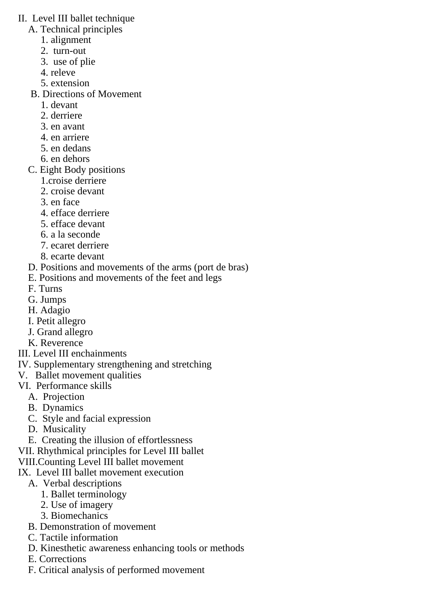- II. Level III ballet technique
	- A. Technical principles
		- 1. alignment
		- 2. turn-out
		- 3. use of plie
		- 4. releve
		- 5. extension
	- B. Directions of Movement
		- 1. devant
		- 2. derriere
		- 3. en avant
		- 4. en arriere
		- 5. en dedans
		- 6. en dehors
	- C. Eight Body positions
		- 1.croise derriere
		- 2. croise devant
		- 3. en face
		- 4. efface derriere
		- 5. efface devant
		- 6. a la seconde
		- 7. ecaret derriere
		- 8. ecarte devant
	- D. Positions and movements of the arms (port de bras)
	- E. Positions and movements of the feet and legs
	- F. Turns
	- G. Jumps
	- H. Adagio
	- I. Petit allegro
	- J. Grand allegro
	- K. Reverence
- III. Level III enchainments
- IV. Supplementary strengthening and stretching
- V. Ballet movement qualities
- VI. Performance skills
	- A. Projection
	- B. Dynamics
	- C. Style and facial expression
	- D. Musicality
	- E. Creating the illusion of effortlessness
- VII. Rhythmical principles for Level III ballet
- VIII.Counting Level III ballet movement
- IX. Level III ballet movement execution
	- A. Verbal descriptions
		- 1. Ballet terminology
		- 2. Use of imagery
		- 3. Biomechanics
	- B. Demonstration of movement
	- C. Tactile information
	- D. Kinesthetic awareness enhancing tools or methods
	- E. Corrections
	- F. Critical analysis of performed movement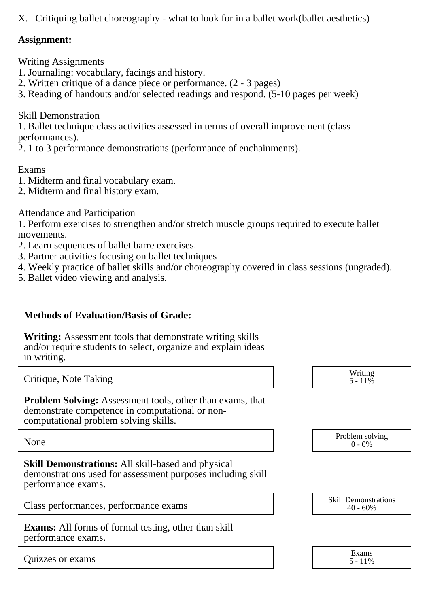X. Critiquing ballet choreography - what to look for in a ballet work(ballet aesthetics)

### **Assignment:**

Writing Assignments

- 1. Journaling: vocabulary, facings and history.
- 2. Written critique of a dance piece or performance. (2 3 pages)
- 3. Reading of handouts and/or selected readings and respond. (5-10 pages per week)

Skill Demonstration

1. Ballet technique class activities assessed in terms of overall improvement (class performances).

2. 1 to 3 performance demonstrations (performance of enchainments).

Exams

- 1. Midterm and final vocabulary exam.
- 2. Midterm and final history exam.

Attendance and Participation

1. Perform exercises to strengthen and/or stretch muscle groups required to execute ballet movements.

- 2. Learn sequences of ballet barre exercises.
- 3. Partner activities focusing on ballet techniques
- 4. Weekly practice of ballet skills and/or choreography covered in class sessions (ungraded).
- 5. Ballet video viewing and analysis.

### **Methods of Evaluation/Basis of Grade:**

**Writing:** Assessment tools that demonstrate writing skills and/or require students to select, organize and explain ideas in writing.

Critique, Note Taking

**Problem Solving:** Assessment tools, other than exams, that demonstrate competence in computational or noncomputational problem solving skills.

**Skill Demonstrations:** All skill-based and physical demonstrations used for assessment purposes including skill performance exams.

Class performances, performance exams

**Exams:** All forms of formal testing, other than skill performance exams.

Quizzes or exams Exams

| Writing<br>$5 - 11\%$ |
|-----------------------|
|                       |

None Problem solving and the Problem solving problem solving and the Problem solving problem solving  $0 - 0\%$  $0 - 0\%$ 

| <b>Skill Demonstrations</b> |  |  |
|-----------------------------|--|--|
| $40 - 60\%$                 |  |  |

| Exams      |  |
|------------|--|
| $5 - 11\%$ |  |
|            |  |